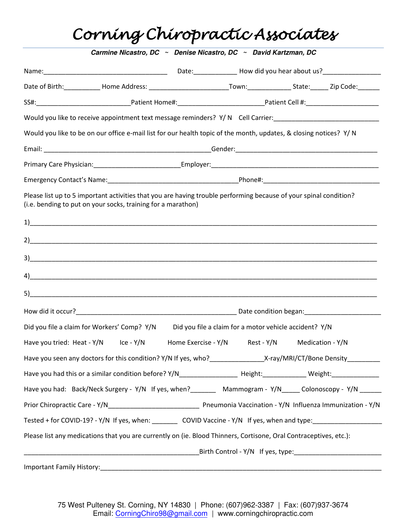# Corning Chiropractic Associates

|                                                              | Would you like to receive appointment text message reminders? Y/N Cell Carrier: ______________________________    |  |
|--------------------------------------------------------------|-------------------------------------------------------------------------------------------------------------------|--|
|                                                              | Would you like to be on our office e-mail list for our health topic of the month, updates, & closing notices? Y/N |  |
|                                                              |                                                                                                                   |  |
|                                                              |                                                                                                                   |  |
|                                                              |                                                                                                                   |  |
| (i.e. bending to put on your socks, training for a marathon) | Please list up to 5 important activities that you are having trouble performing because of your spinal condition? |  |
|                                                              |                                                                                                                   |  |
|                                                              |                                                                                                                   |  |
|                                                              |                                                                                                                   |  |
|                                                              |                                                                                                                   |  |
|                                                              |                                                                                                                   |  |
|                                                              |                                                                                                                   |  |
|                                                              |                                                                                                                   |  |
| Did you file a claim for Workers' Comp? Y/N                  | Did you file a claim for a motor vehicle accident? Y/N                                                            |  |
| Have you tried: Heat - Y/N lce - Y/N                         | Home Exercise - Y/N<br>Rest - Y/N Medication - Y/N                                                                |  |
|                                                              | Have you seen any doctors for this condition? Y/N If yes, who?_________________X-ray/MRI/CT/Bone Density_________ |  |
|                                                              |                                                                                                                   |  |
|                                                              | Have you had: Back/Neck Surgery - Y/N If yes, when?_______ Mammogram - Y/N_____ Colonoscopy - Y/N ______          |  |
|                                                              |                                                                                                                   |  |
|                                                              |                                                                                                                   |  |
|                                                              | Please list any medications that you are currently on (ie. Blood Thinners, Cortisone, Oral Contraceptives, etc.): |  |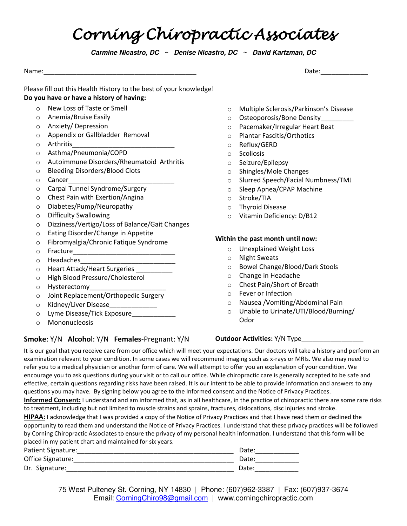## Corning Chiropractic Associates

*Carmine Nicastro, DC ~ Denise Nicastro, DC ~ David Kartzman, DC* 

Name:\_\_\_\_\_\_\_\_\_\_\_\_\_\_\_\_\_\_\_\_\_\_\_\_\_\_\_\_\_\_\_\_\_\_\_\_\_\_\_\_\_\_ Date:\_\_\_\_\_\_\_\_\_\_\_\_\_

#### Please fill out this Health History to the best of your knowledge! **Do you have or have a history of having:**

- o New Loss of Taste or Smell
- o Anemia/Bruise Easily
- o Anxiety/ Depression
- o Appendix or Gallbladder Removal
- $\circ$  Arthritis
- o Asthma/Pneumonia/COPD
- o Autoimmune Disorders/Rheumatoid Arthritis
- o Bleeding Disorders/Blood Clots
- $\circ$  Cancer
- o Carpal Tunnel Syndrome/Surgery
- o Chest Pain with Exertion/Angina
- o Diabetes/Pump/Neuropathy
- o Difficulty Swallowing
- o Dizziness/Vertigo/Loss of Balance/Gait Changes
- o Eating Disorder/Change in Appetite
- o Fibromyalgia/Chronic Fatique Syndrome
- o Fracture\_\_\_\_\_\_\_\_\_\_\_\_\_\_\_\_\_\_\_\_\_\_\_\_\_\_\_\_
- $\circ$  Headaches
- o Heart Attack/Heart Surgeries
- o High Blood Pressure/Cholesterol
- o Hysterectomy\_\_\_\_\_\_\_\_\_\_\_\_\_\_\_\_\_\_\_\_\_
- o Joint Replacement/Orthopedic Surgery
- $\circ$  Kidney/Liver Disease
- $\circ$  Lyme Disease/Tick Exposure
- o Mononucleosis

#### **Smoke**: Y/N **Alcoho**l: Y/N **Females**-Pregnant: Y/N

- o Multiple Sclerosis/Parkinson's Disease
- $\circ$  Osteoporosis/Bone Density
- o Pacemaker/Irregular Heart Beat
- o Plantar Fascitis/Orthotics
- o Reflux/GERD
- o Scoliosis
- o Seizure/Epilepsy
- o Shingles/Mole Changes
- o Slurred Speech/Facial Numbness/TMJ
- o Sleep Apnea/CPAP Machine
- o Stroke/TIA
- o Thyroid Disease
- o Vitamin Deficiency: D/B12

#### **Within the past month until now:**

- o Unexplained Weight Loss
- o Night Sweats
- o Bowel Change/Blood/Dark Stools
- o Change in Headache
- o Chest Pain/Short of Breath
- o Fever or Infection
- o Nausea /Vomiting/Abdominal Pain
- o Unable to Urinate/UTI/Blood/Burning/ Odor

#### **Outdoor Activities:** Y/N Type

It is our goal that you receive care from our office which will meet your expectations. Our doctors will take a history and perform an examination relevant to your condition. In some cases we will recommend imaging such as x-rays or MRIs. We also may need to refer you to a medical physician or another form of care. We will attempt to offer you an explanation of your condition. We encourage you to ask questions during your visit or to call our office. While chiropractic care is generally accepted to be safe and effective, certain questions regarding risks have been raised. It is our intent to be able to provide information and answers to any questions you may have. By signing below you agree to the Informed consent and the Notice of Privacy Practices.

**Informed Consent:** I understand and am informed that, as in all healthcare, in the practice of chiropractic there are some rare risks to treatment, including but not limited to muscle strains and sprains, fractures, dislocations, disc injuries and stroke.

**HIPAA:** I acknowledge that I was provided a copy of the Notice of Privacy Practices and that I have read them or declined the opportunity to read them and understand the Notice of Privacy Practices. I understand that these privacy practices will be followed by Corning Chiropractic Associates to ensure the privacy of my personal health information. I understand that this form will be placed in my patient chart and maintained for six years.

| Patient Signature: | Date: |
|--------------------|-------|
| Office Signature:  | Date: |
| Dr. Signature:     | Date: |

75 West Pulteney St. Corning, NY 14830 | Phone: (607)962-3387 | Fax: (607)937-3674 Email: [CorningChiro98@gmail.com](mailto:CorningChiro98@gmail.com) | www.corningchiropractic.com